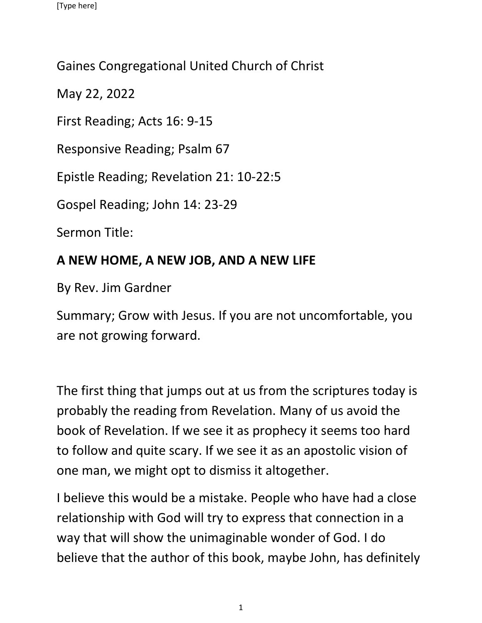## Gaines Congregational United Church of Christ

May 22, 2022

First Reading; Acts 16: 9-15

Responsive Reading; Psalm 67

Epistle Reading; Revelation 21: 10-22:5

Gospel Reading; John 14: 23-29

Sermon Title:

## **A NEW HOME, A NEW JOB, AND A NEW LIFE**

By Rev. Jim Gardner

Summary; Grow with Jesus. If you are not uncomfortable, you are not growing forward.

The first thing that jumps out at us from the scriptures today is probably the reading from Revelation. Many of us avoid the book of Revelation. If we see it as prophecy it seems too hard to follow and quite scary. If we see it as an apostolic vision of one man, we might opt to dismiss it altogether.

I believe this would be a mistake. People who have had a close relationship with God will try to express that connection in a way that will show the unimaginable wonder of God. I do believe that the author of this book, maybe John, has definitely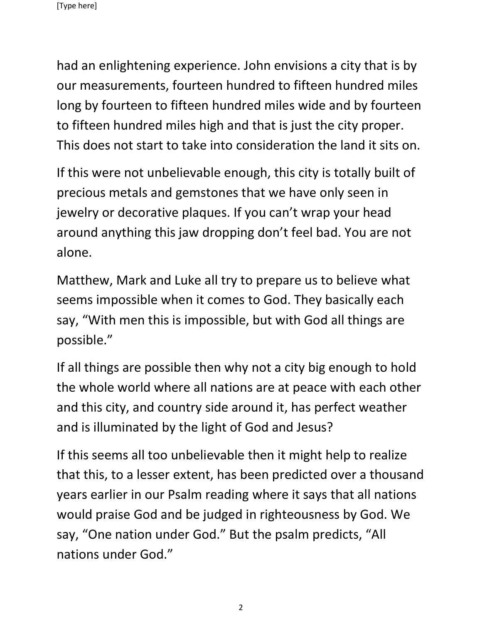had an enlightening experience. John envisions a city that is by our measurements, fourteen hundred to fifteen hundred miles long by fourteen to fifteen hundred miles wide and by fourteen to fifteen hundred miles high and that is just the city proper. This does not start to take into consideration the land it sits on.

If this were not unbelievable enough, this city is totally built of precious metals and gemstones that we have only seen in jewelry or decorative plaques. If you can't wrap your head around anything this jaw dropping don't feel bad. You are not alone.

Matthew, Mark and Luke all try to prepare us to believe what seems impossible when it comes to God. They basically each say, "With men this is impossible, but with God all things are possible."

If all things are possible then why not a city big enough to hold the whole world where all nations are at peace with each other and this city, and country side around it, has perfect weather and is illuminated by the light of God and Jesus?

If this seems all too unbelievable then it might help to realize that this, to a lesser extent, has been predicted over a thousand years earlier in our Psalm reading where it says that all nations would praise God and be judged in righteousness by God. We say, "One nation under God." But the psalm predicts, "All nations under God."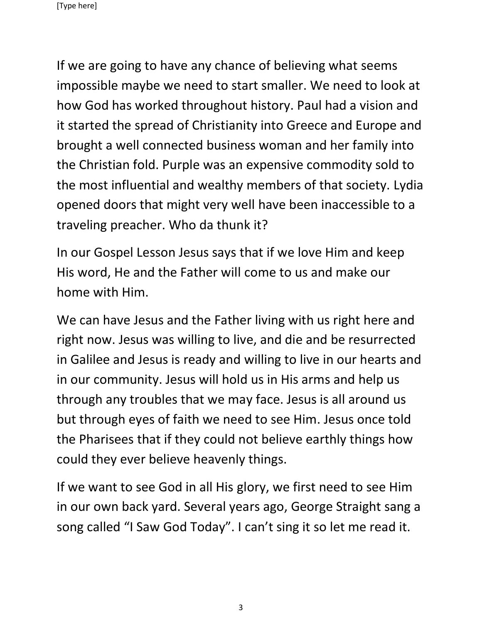If we are going to have any chance of believing what seems impossible maybe we need to start smaller. We need to look at how God has worked throughout history. Paul had a vision and it started the spread of Christianity into Greece and Europe and brought a well connected business woman and her family into the Christian fold. Purple was an expensive commodity sold to the most influential and wealthy members of that society. Lydia opened doors that might very well have been inaccessible to a traveling preacher. Who da thunk it?

In our Gospel Lesson Jesus says that if we love Him and keep His word, He and the Father will come to us and make our home with Him.

We can have Jesus and the Father living with us right here and right now. Jesus was willing to live, and die and be resurrected in Galilee and Jesus is ready and willing to live in our hearts and in our community. Jesus will hold us in His arms and help us through any troubles that we may face. Jesus is all around us but through eyes of faith we need to see Him. Jesus once told the Pharisees that if they could not believe earthly things how could they ever believe heavenly things.

If we want to see God in all His glory, we first need to see Him in our own back yard. Several years ago, George Straight sang a song called "I Saw God Today". I can't sing it so let me read it.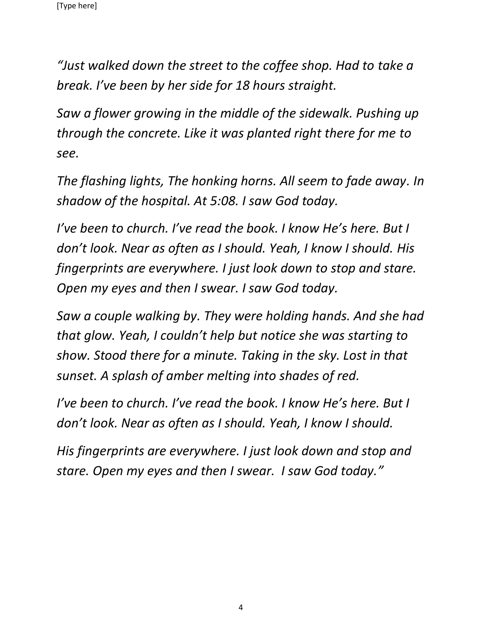*"Just walked down the street to the coffee shop. Had to take a break. I've been by her side for 18 hours straight.*

*Saw a flower growing in the middle of the sidewalk. Pushing up through the concrete. Like it was planted right there for me to see.* 

*The flashing lights, The honking horns. All seem to fade away. In shadow of the hospital. At 5:08. I saw God today.*

*I've been to church. I've read the book. I know He's here. But I don't look. Near as often as I should. Yeah, I know I should. His fingerprints are everywhere. I just look down to stop and stare. Open my eyes and then I swear. I saw God today.*

*Saw a couple walking by. They were holding hands. And she had that glow. Yeah, I couldn't help but notice she was starting to show. Stood there for a minute. Taking in the sky. Lost in that sunset. A splash of amber melting into shades of red.*

*I've been to church. I've read the book. I know He's here. But I don't look. Near as often as I should. Yeah, I know I should.*

*His fingerprints are everywhere. I just look down and stop and stare. Open my eyes and then I swear. I saw God today."*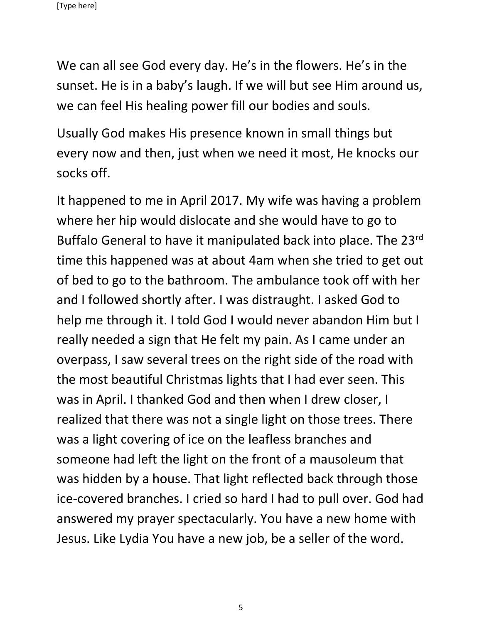We can all see God every day. He's in the flowers. He's in the sunset. He is in a baby's laugh. If we will but see Him around us, we can feel His healing power fill our bodies and souls.

Usually God makes His presence known in small things but every now and then, just when we need it most, He knocks our socks off.

It happened to me in April 2017. My wife was having a problem where her hip would dislocate and she would have to go to Buffalo General to have it manipulated back into place. The 23rd time this happened was at about 4am when she tried to get out of bed to go to the bathroom. The ambulance took off with her and I followed shortly after. I was distraught. I asked God to help me through it. I told God I would never abandon Him but I really needed a sign that He felt my pain. As I came under an overpass, I saw several trees on the right side of the road with the most beautiful Christmas lights that I had ever seen. This was in April. I thanked God and then when I drew closer, I realized that there was not a single light on those trees. There was a light covering of ice on the leafless branches and someone had left the light on the front of a mausoleum that was hidden by a house. That light reflected back through those ice-covered branches. I cried so hard I had to pull over. God had answered my prayer spectacularly. You have a new home with Jesus. Like Lydia You have a new job, be a seller of the word.

5